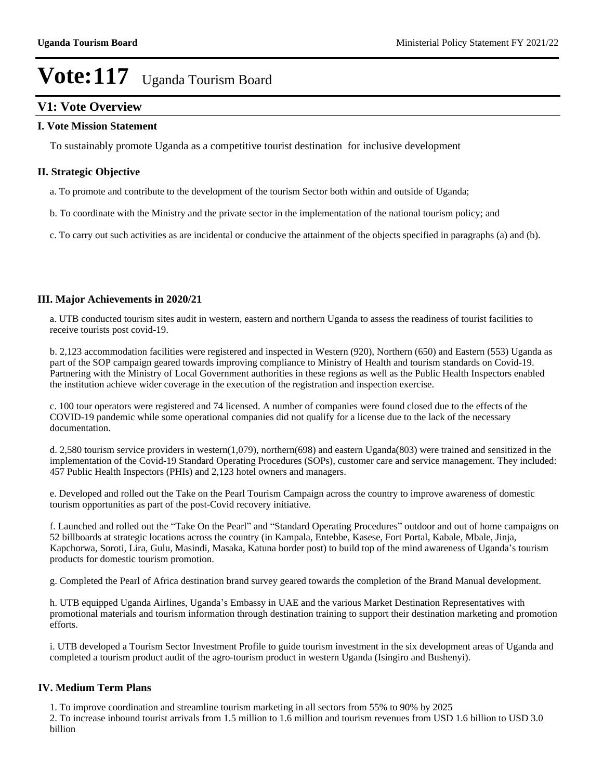## **V1: Vote Overview**

#### **I. Vote Mission Statement**

To sustainably promote Uganda as a competitive tourist destination for inclusive development

#### **II. Strategic Objective**

- a. To promote and contribute to the development of the tourism Sector both within and outside of Uganda;
- b. To coordinate with the Ministry and the private sector in the implementation of the national tourism policy; and

c. To carry out such activities as are incidental or conducive the attainment of the objects specified in paragraphs (a) and (b).

#### **III. Major Achievements in 2020/21**

a. UTB conducted tourism sites audit in western, eastern and northern Uganda to assess the readiness of tourist facilities to receive tourists post covid-19.

b. 2,123 accommodation facilities were registered and inspected in Western (920), Northern (650) and Eastern (553) Uganda as part of the SOP campaign geared towards improving compliance to Ministry of Health and tourism standards on Covid-19. Partnering with the Ministry of Local Government authorities in these regions as well as the Public Health Inspectors enabled the institution achieve wider coverage in the execution of the registration and inspection exercise.

c. 100 tour operators were registered and 74 licensed. A number of companies were found closed due to the effects of the COVID-19 pandemic while some operational companies did not qualify for a license due to the lack of the necessary documentation.

d. 2,580 tourism service providers in western(1,079), northern(698) and eastern Uganda(803) were trained and sensitized in the implementation of the Covid-19 Standard Operating Procedures (SOPs), customer care and service management. They included: 457 Public Health Inspectors (PHIs) and 2,123 hotel owners and managers.

e. Developed and rolled out the Take on the Pearl Tourism Campaign across the country to improve awareness of domestic tourism opportunities as part of the post-Covid recovery initiative.

f. Launched and rolled out the "Take On the Pearl" and "Standard Operating Procedures" outdoor and out of home campaigns on 52 billboards at strategic locations across the country (in Kampala, Entebbe, Kasese, Fort Portal, Kabale, Mbale, Jinja, Kapchorwa, Soroti, Lira, Gulu, Masindi, Masaka, Katuna border post) to build top of the mind awareness of Uganda's tourism products for domestic tourism promotion.

g. Completed the Pearl of Africa destination brand survey geared towards the completion of the Brand Manual development.

h. UTB equipped Uganda Airlines, Uganda's Embassy in UAE and the various Market Destination Representatives with promotional materials and tourism information through destination training to support their destination marketing and promotion efforts.

i. UTB developed a Tourism Sector Investment Profile to guide tourism investment in the six development areas of Uganda and completed a tourism product audit of the agro-tourism product in western Uganda (Isingiro and Bushenyi).

#### **IV. Medium Term Plans**

1. To improve coordination and streamline tourism marketing in all sectors from 55% to 90% by 2025

2. To increase inbound tourist arrivals from 1.5 million to 1.6 million and tourism revenues from USD 1.6 billion to USD 3.0 billion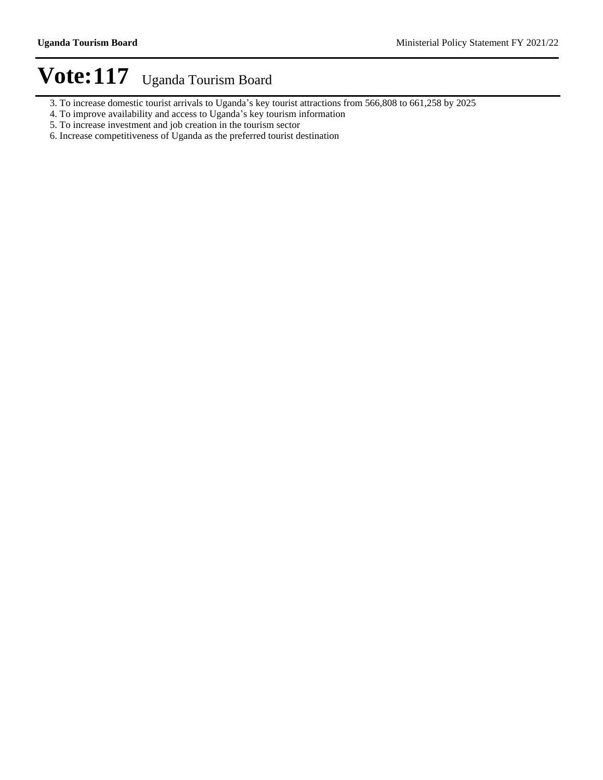- 3. To increase domestic tourist arrivals to Uganda's key tourist attractions from 566,808 to 661,258 by 2025
- 4. To improve availability and access to Uganda's key tourism information
- 5. To increase investment and job creation in the tourism sector
- 6. Increase competitiveness of Uganda as the preferred tourist destination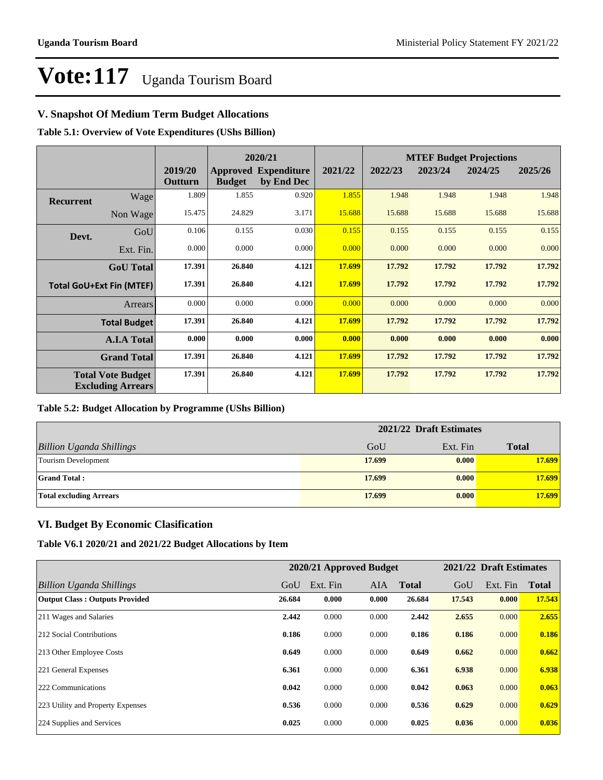### **V. Snapshot Of Medium Term Budget Allocations**

**Table 5.1: Overview of Vote Expenditures (UShs Billion)**

|                                 | 2020/21                                              |                    |               |                                           | <b>MTEF Budget Projections</b> |         |         |         |         |  |
|---------------------------------|------------------------------------------------------|--------------------|---------------|-------------------------------------------|--------------------------------|---------|---------|---------|---------|--|
|                                 |                                                      | 2019/20<br>Outturn | <b>Budget</b> | <b>Approved Expenditure</b><br>by End Dec | 2021/22                        | 2022/23 | 2023/24 | 2024/25 | 2025/26 |  |
| <b>Recurrent</b>                | Wage                                                 | 1.809              | 1.855         | 0.920                                     | 1.855                          | 1.948   | 1.948   | 1.948   | 1.948   |  |
|                                 | Non Wage                                             | 15.475             | 24.829        | 3.171                                     | 15.688                         | 15.688  | 15.688  | 15.688  | 15.688  |  |
| Devt.                           | GoU                                                  | 0.106              | 0.155         | 0.030                                     | 0.155                          | 0.155   | 0.155   | 0.155   | 0.155   |  |
|                                 | Ext. Fin.                                            | 0.000              | 0.000         | 0.000                                     | 0.000                          | 0.000   | 0.000   | 0.000   | 0.000   |  |
|                                 | <b>GoU</b> Total                                     | 17.391             | 26.840        | 4.121                                     | 17.699                         | 17.792  | 17.792  | 17.792  | 17.792  |  |
| <b>Total GoU+Ext Fin (MTEF)</b> |                                                      | 17.391             | 26.840        | 4.121                                     | 17.699                         | 17.792  | 17.792  | 17.792  | 17.792  |  |
|                                 | <b>Arrears</b>                                       | 0.000              | 0.000         | 0.000                                     | 0.000                          | 0.000   | 0.000   | 0.000   | 0.000   |  |
|                                 | <b>Total Budget</b>                                  | 17.391             | 26.840        | 4.121                                     | 17.699                         | 17.792  | 17.792  | 17.792  | 17.792  |  |
|                                 | <b>A.I.A Total</b>                                   | 0.000              | 0.000         | 0.000                                     | 0.000                          | 0.000   | 0.000   | 0.000   | 0.000   |  |
|                                 | <b>Grand Total</b>                                   | 17.391             | 26.840        | 4.121                                     | 17.699                         | 17.792  | 17.792  | 17.792  | 17.792  |  |
|                                 | <b>Total Vote Budget</b><br><b>Excluding Arrears</b> | 17.391             | 26.840        | 4.121                                     | 17.699                         | 17.792  | 17.792  | 17.792  | 17.792  |  |

#### **Table 5.2: Budget Allocation by Programme (UShs Billion)**

|                                 | 2021/22 Draft Estimates |          |              |  |  |
|---------------------------------|-------------------------|----------|--------------|--|--|
| <b>Billion Uganda Shillings</b> | GoU                     | Ext. Fin | <b>Total</b> |  |  |
| Tourism Development             | 17.699                  | 0.000    | 17.699       |  |  |
| <b>Grand Total:</b>             | 17.699                  | 0.000    | 17.699       |  |  |
| <b>Total excluding Arrears</b>  | 17.699                  | 0.000    | 17.699       |  |  |

### **VI. Budget By Economic Clasification**

**Table V6.1 2020/21 and 2021/22 Budget Allocations by Item**

| 2020/21 Approved Budget               |        |          | 2021/22 Draft Estimates |              |        |          |              |
|---------------------------------------|--------|----------|-------------------------|--------------|--------|----------|--------------|
| Billion Uganda Shillings              | GoU    | Ext. Fin | <b>AIA</b>              | <b>Total</b> | GoU    | Ext. Fin | <b>Total</b> |
| <b>Output Class: Outputs Provided</b> | 26.684 | 0.000    | 0.000                   | 26.684       | 17.543 | 0.000    | 17.543       |
| 211 Wages and Salaries                | 2.442  | 0.000    | 0.000                   | 2.442        | 2.655  | 0.000    | 2.655        |
| 212 Social Contributions              | 0.186  | 0.000    | 0.000                   | 0.186        | 0.186  | 0.000    | 0.186        |
| 213 Other Employee Costs              | 0.649  | 0.000    | 0.000                   | 0.649        | 0.662  | 0.000    | 0.662        |
| 221 General Expenses                  | 6.361  | 0.000    | 0.000                   | 6.361        | 6.938  | 0.000    | 6.938        |
| 222 Communications                    | 0.042  | 0.000    | 0.000                   | 0.042        | 0.063  | 0.000    | 0.063        |
| 223 Utility and Property Expenses     | 0.536  | 0.000    | 0.000                   | 0.536        | 0.629  | 0.000    | 0.629        |
| 224 Supplies and Services             | 0.025  | 0.000    | 0.000                   | 0.025        | 0.036  | 0.000    | 0.036        |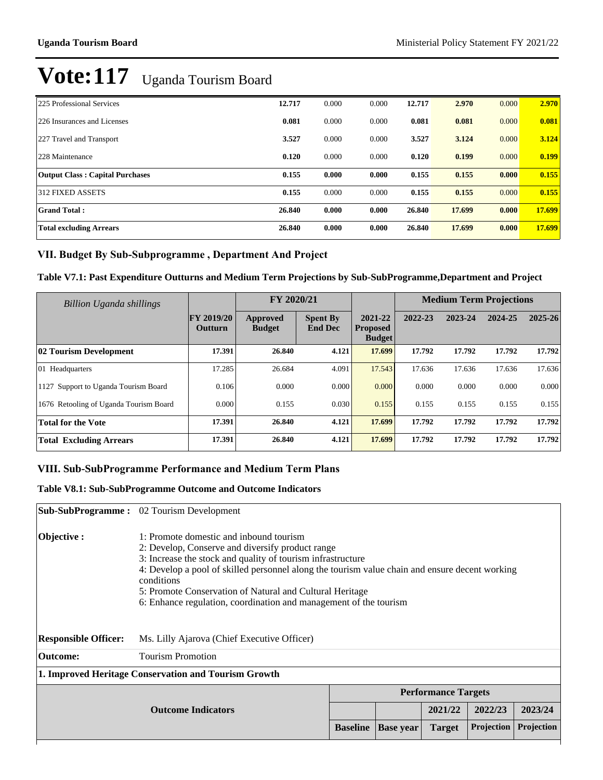| 225 Professional Services              | 12.717 | 0.000 | 0.000 | 12.717 | 2.970  | 0.000 | 2.970  |
|----------------------------------------|--------|-------|-------|--------|--------|-------|--------|
| 226 Insurances and Licenses            | 0.081  | 0.000 | 0.000 | 0.081  | 0.081  | 0.000 | 0.081  |
| 227 Travel and Transport               | 3.527  | 0.000 | 0.000 | 3.527  | 3.124  | 0.000 | 3.124  |
| 228 Maintenance                        | 0.120  | 0.000 | 0.000 | 0.120  | 0.199  | 0.000 | 0.199  |
| <b>Output Class: Capital Purchases</b> | 0.155  | 0.000 | 0.000 | 0.155  | 0.155  | 0.000 | 0.155  |
| 312 FIXED ASSETS                       | 0.155  | 0.000 | 0.000 | 0.155  | 0.155  | 0.000 | 0.155  |
| <b>Grand Total:</b>                    | 26.840 | 0.000 | 0.000 | 26.840 | 17.699 | 0.000 | 17.699 |
| <b>Total excluding Arrears</b>         | 26.840 | 0.000 | 0.000 | 26.840 | 17.699 | 0.000 | 17.699 |

### VII. Budget By Sub-Subprogramme, Department And Project

#### **Table V7.1: Past Expenditure Outturns and Medium Term Projections by Sub-SubProgramme,Department and Project**

| Billion Uganda shillings               |                              | FY 2020/21                |                                   |                                             | <b>Medium Term Projections</b> |         |         |         |
|----------------------------------------|------------------------------|---------------------------|-----------------------------------|---------------------------------------------|--------------------------------|---------|---------|---------|
|                                        | <b>FY 2019/20</b><br>Outturn | Approved<br><b>Budget</b> | <b>Spent By</b><br><b>End Dec</b> | 2021-22<br><b>Proposed</b><br><b>Budget</b> | 2022-23                        | 2023-24 | 2024-25 | 2025-26 |
| 02 Tourism Development                 | 17.391                       | 26.840                    | 4.121                             | 17.699                                      | 17.792                         | 17.792  | 17.792  | 17.792  |
| 01 Headquarters                        | 17.285                       | 26.684                    | 4.091                             | 17.543                                      | 17.636                         | 17.636  | 17.636  | 17.636  |
| 1127 Support to Uganda Tourism Board   | 0.106                        | 0.000                     | 0.000                             | 0.000                                       | 0.000                          | 0.000   | 0.000   | 0.000   |
| 1676 Retooling of Uganda Tourism Board | 0.000                        | 0.155                     | 0.030                             | 0.155                                       | 0.155                          | 0.155   | 0.155   | 0.155   |
| <b>Total for the Vote</b>              | 17.391                       | 26.840                    | 4.121                             | 17.699                                      | 17.792                         | 17.792  | 17.792  | 17.792  |
| <b>Total Excluding Arrears</b>         | 17.391                       | 26.840                    | 4.121                             | 17.699                                      | 17.792                         | 17.792  | 17.792  | 17.792  |

#### VIII. Sub-SubProgramme Performance and Medium Term Plans

#### **Table V8.1: Sub-SubProgramme Outcome and Outcome Indicators**

|                             | <b>Sub-SubProgramme:</b> 02 Tourism Development                                                                                                                                                                                                                                                                                                                                                             |                 |                  |                            |            |            |  |  |  |
|-----------------------------|-------------------------------------------------------------------------------------------------------------------------------------------------------------------------------------------------------------------------------------------------------------------------------------------------------------------------------------------------------------------------------------------------------------|-----------------|------------------|----------------------------|------------|------------|--|--|--|
| Objective :                 | 1: Promote domestic and inbound tourism<br>2: Develop, Conserve and diversify product range<br>3: Increase the stock and quality of tourism infrastructure<br>4: Develop a pool of skilled personnel along the tourism value chain and ensure decent working<br>conditions<br>5: Promote Conservation of Natural and Cultural Heritage<br>6: Enhance regulation, coordination and management of the tourism |                 |                  |                            |            |            |  |  |  |
| <b>Responsible Officer:</b> | Ms. Lilly Ajarova (Chief Executive Officer)                                                                                                                                                                                                                                                                                                                                                                 |                 |                  |                            |            |            |  |  |  |
| Outcome:                    | <b>Tourism Promotion</b>                                                                                                                                                                                                                                                                                                                                                                                    |                 |                  |                            |            |            |  |  |  |
|                             | 1. Improved Heritage Conservation and Tourism Growth                                                                                                                                                                                                                                                                                                                                                        |                 |                  |                            |            |            |  |  |  |
|                             |                                                                                                                                                                                                                                                                                                                                                                                                             |                 |                  | <b>Performance Targets</b> |            |            |  |  |  |
|                             |                                                                                                                                                                                                                                                                                                                                                                                                             |                 | 2021/22          | 2022/23                    | 2023/24    |            |  |  |  |
|                             |                                                                                                                                                                                                                                                                                                                                                                                                             | <b>Baseline</b> | <b>Base year</b> | <b>Target</b>              | Projection | Projection |  |  |  |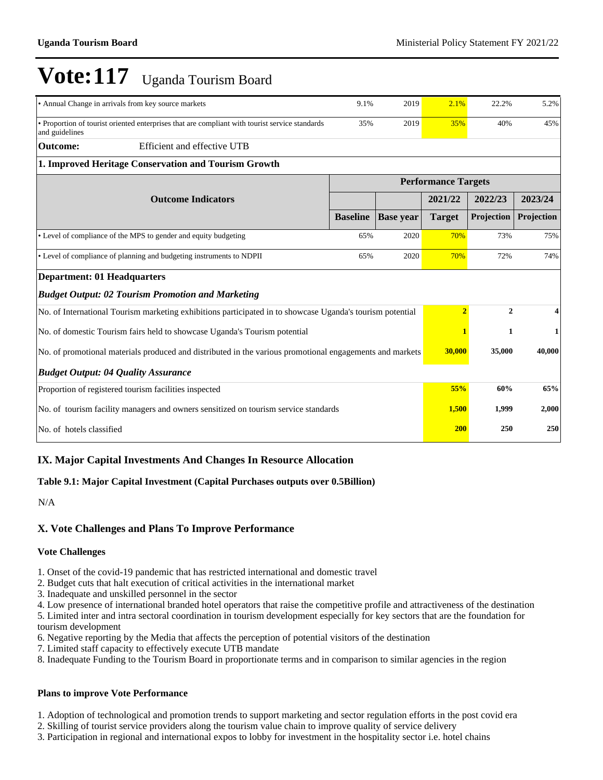| • Annual Change in arrivals from key source markets                                                              | 9.1%                       | 2019             | 2.1%           | 22.2%        | 5.2%       |
|------------------------------------------------------------------------------------------------------------------|----------------------------|------------------|----------------|--------------|------------|
| • Proportion of tourist oriented enterprises that are compliant with tourist service standards<br>and guidelines |                            | 35%<br>2019      |                | 40%          | 45%        |
| Efficient and effective UTB<br><b>Outcome:</b>                                                                   |                            |                  |                |              |            |
| 1. Improved Heritage Conservation and Tourism Growth                                                             |                            |                  |                |              |            |
|                                                                                                                  | <b>Performance Targets</b> |                  |                |              |            |
| <b>Outcome Indicators</b>                                                                                        |                            |                  | 2021/22        | 2022/23      | 2023/24    |
|                                                                                                                  | <b>Baseline</b>            | <b>Base year</b> | <b>Target</b>  | Projection   | Projection |
| • Level of compliance of the MPS to gender and equity budgeting                                                  | 65%                        | 2020             | 70%            | 73%          | 75%        |
| • Level of compliance of planning and budgeting instruments to NDPII                                             | 65%<br>2020                |                  | 70%            | 72%          | 74%        |
| <b>Department: 01 Headquarters</b>                                                                               |                            |                  |                |              |            |
| <b>Budget Output: 02 Tourism Promotion and Marketing</b>                                                         |                            |                  |                |              |            |
| No. of International Tourism marketing exhibitions participated in to showcase Uganda's tourism potential        |                            |                  | $\overline{2}$ | $\mathbf{2}$ | 4          |
| No. of domestic Tourism fairs held to showcase Uganda's Tourism potential                                        |                            |                  |                | 1            | 1          |
| No. of promotional materials produced and distributed in the various promotional engagements and markets         | 30,000                     | 35,000           | 40,000         |              |            |
| <b>Budget Output: 04 Quality Assurance</b>                                                                       |                            |                  |                |              |            |
| Proportion of registered tourism facilities inspected                                                            | 55%                        | 60%              | 65%            |              |            |
| No. of tourism facility managers and owners sensitized on tourism service standards                              | 1,500                      | 1,999            | 2,000          |              |            |
| No. of hotels classified                                                                                         | 200                        | 250              | 250            |              |            |

### **IX. Major Capital Investments And Changes In Resource Allocation**

#### **Table 9.1: Major Capital Investment (Capital Purchases outputs over 0.5Billion)**

N/A

### **X. Vote Challenges and Plans To Improve Performance**

#### **Vote Challenges**

1. Onset of the covid-19 pandemic that has restricted international and domestic travel

2. Budget cuts that halt execution of critical activities in the international market

3. Inadequate and unskilled personnel in the sector

4. Low presence of international branded hotel operators that raise the competitive profile and attractiveness of the destination

5. Limited inter and intra sectoral coordination in tourism development especially for key sectors that are the foundation for tourism development

- 6. Negative reporting by the Media that affects the perception of potential visitors of the destination
- 7. Limited staff capacity to effectively execute UTB mandate
- 8. Inadequate Funding to the Tourism Board in proportionate terms and in comparison to similar agencies in the region

#### **Plans to improve Vote Performance**

1. Adoption of technological and promotion trends to support marketing and sector regulation efforts in the post covid era

- 2. Skilling of tourist service providers along the tourism value chain to improve quality of service delivery
- 3. Participation in regional and international expos to lobby for investment in the hospitality sector i.e. hotel chains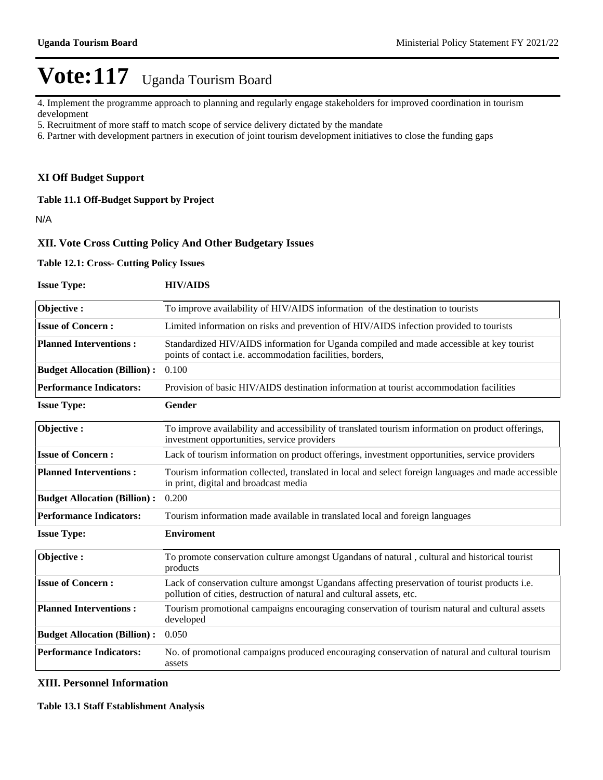4. Implement the programme approach to planning and regularly engage stakeholders for improved coordination in tourism development

- 5. Recruitment of more staff to match scope of service delivery dictated by the mandate
- 6. Partner with development partners in execution of joint tourism development initiatives to close the funding gaps

#### **XI Off Budget Support**

**Table 11.1 Off-Budget Support by Project**

N/A

#### **XII. Vote Cross Cutting Policy And Other Budgetary Issues**

**Table 12.1: Cross- Cutting Policy Issues**

| <b>Issue Type:</b>                  | <b>HIV/AIDS</b>                                                                                                                                                        |
|-------------------------------------|------------------------------------------------------------------------------------------------------------------------------------------------------------------------|
| Objective:                          | To improve availability of HIV/AIDS information of the destination to tourists                                                                                         |
| <b>Issue of Concern:</b>            | Limited information on risks and prevention of HIV/AIDS infection provided to tourists                                                                                 |
| <b>Planned Interventions:</b>       | Standardized HIV/AIDS information for Uganda compiled and made accessible at key tourist<br>points of contact i.e. accommodation facilities, borders,                  |
| <b>Budget Allocation (Billion):</b> | 0.100                                                                                                                                                                  |
| <b>Performance Indicators:</b>      | Provision of basic HIV/AIDS destination information at tourist accommodation facilities                                                                                |
| <b>Issue Type:</b>                  | Gender                                                                                                                                                                 |
| Objective:                          | To improve availability and accessibility of translated tourism information on product offerings,<br>investment opportunities, service providers                       |
| <b>Issue of Concern:</b>            | Lack of tourism information on product offerings, investment opportunities, service providers                                                                          |
| <b>Planned Interventions:</b>       | Tourism information collected, translated in local and select foreign languages and made accessible<br>in print, digital and broadcast media                           |
| <b>Budget Allocation (Billion):</b> | 0.200                                                                                                                                                                  |
| <b>Performance Indicators:</b>      | Tourism information made available in translated local and foreign languages                                                                                           |
| <b>Issue Type:</b>                  | <b>Enviroment</b>                                                                                                                                                      |
| Objective:                          | To promote conservation culture amongst Ugandans of natural, cultural and historical tourist<br>products                                                               |
| <b>Issue of Concern:</b>            | Lack of conservation culture amongst Ugandans affecting preservation of tourist products i.e.<br>pollution of cities, destruction of natural and cultural assets, etc. |
| <b>Planned Interventions:</b>       | Tourism promotional campaigns encouraging conservation of tourism natural and cultural assets<br>developed                                                             |
| <b>Budget Allocation (Billion):</b> | 0.050                                                                                                                                                                  |
| <b>Performance Indicators:</b>      | No. of promotional campaigns produced encouraging conservation of natural and cultural tourism<br>assets                                                               |

#### **XIII. Personnel Information**

**Table 13.1 Staff Establishment Analysis**